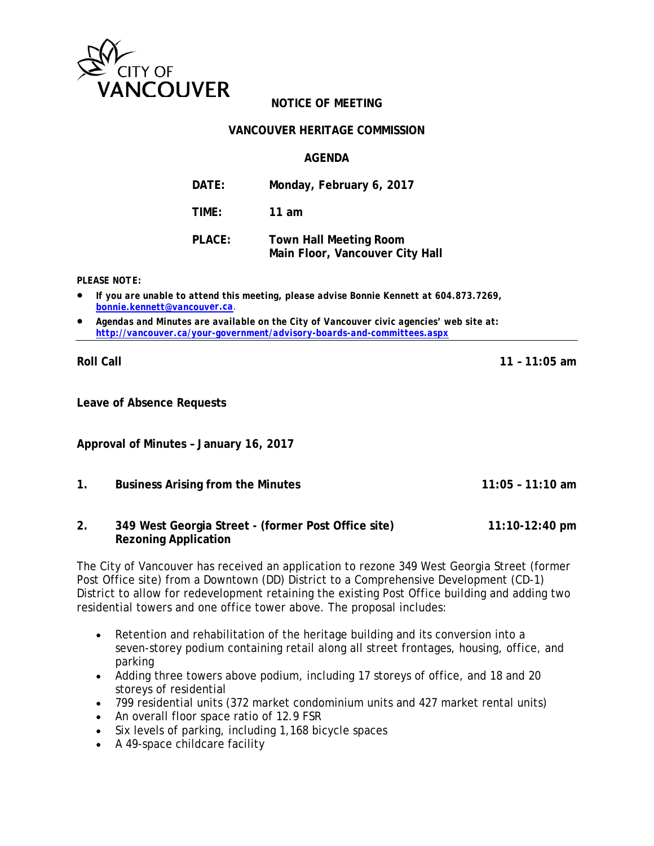

## **NOTICE OF MEETING**

#### **VANCOUVER HERITAGE COMMISSION**

### **AGENDA**

| DATE:         | Monday, February 6, 2017                                         |
|---------------|------------------------------------------------------------------|
| TIME:         | 11 am                                                            |
| <b>PLACE:</b> | <b>Town Hall Meeting Room</b><br>Main Floor, Vancouver City Hall |

*PLEASE NOTE:*

- *If you are unable to attend this meeting, please advise Bonnie Kennett at 604.873.7269, [bonnie.kennett@vancouve](mailto:bonnie.kennett@vancouv)r.ca*.
- *Agendas and Minutes are available on the City of Vancouver civic agencies' web site at: <http://vancouver.ca/your-government/advisory-boards-and-committees.aspx>*

**Roll Call 11 – 11:05 am**

**Leave of Absence Requests**

**Approval of Minutes – January 16, 2017** 

- **1. Business Arising from the Minutes 11:05 11:10 am**
- **2. 349 West Georgia Street (former Post Office site) 11:10-12:40 pm Rezoning Application**

The City of Vancouver has received an application to rezone 349 West Georgia Street (former Post Office site) from a Downtown (DD) District to a Comprehensive Development (CD-1) District to allow for redevelopment retaining the existing Post Office building and adding two residential towers and one office tower above. The proposal includes:

- Retention and rehabilitation of the heritage building and its conversion into a seven-storey podium containing retail along all street frontages, housing, office, and parking
- Adding three towers above podium, including 17 storeys of office, and 18 and 20 storeys of residential
- 799 residential units (372 market condominium units and 427 market rental units)
- An overall floor space ratio of 12.9 FSR
- Six levels of parking, including 1,168 bicycle spaces
- A 49-space childcare facility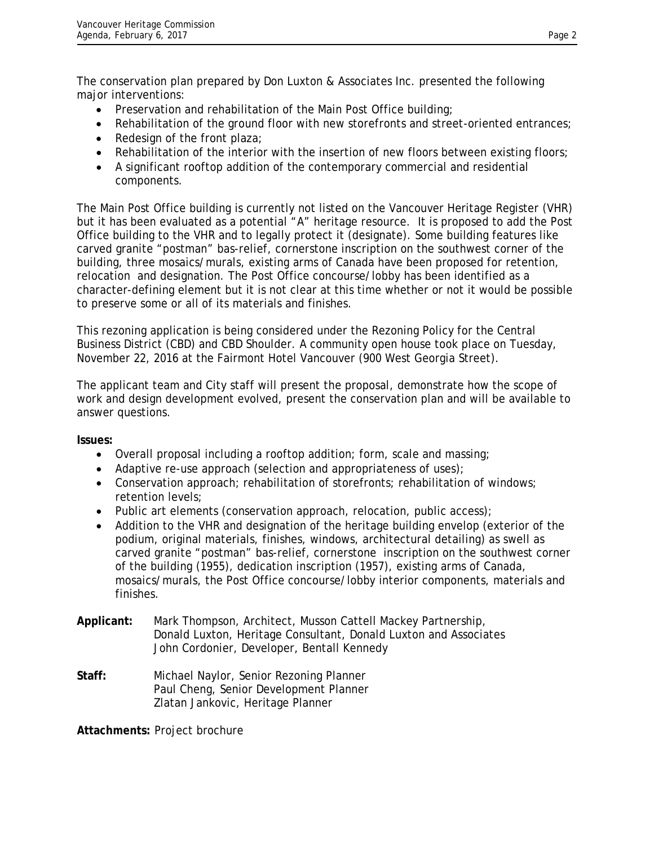The conservation plan prepared by Don Luxton & Associates Inc. presented the following major interventions:

- Preservation and rehabilitation of the Main Post Office building;
- Rehabilitation of the ground floor with new storefronts and street-oriented entrances;
- Redesign of the front plaza;
- Rehabilitation of the interior with the insertion of new floors between existing floors;
- A significant rooftop addition of the contemporary commercial and residential components.

The Main Post Office building is currently not listed on the Vancouver Heritage Register (VHR) but it has been evaluated as a potential "A" heritage resource. It is proposed to add the Post Office building to the VHR and to legally protect it (designate). Some building features like carved granite "postman" bas-relief, cornerstone inscription on the southwest corner of the building, three mosaics/murals, existing arms of Canada have been proposed for retention, relocation and designation. The Post Office concourse/lobby has been identified as a character-defining element but it is not clear at this time whether or not it would be possible to preserve some or all of its materials and finishes.

This rezoning application is being considered under the Rezoning Policy for the Central Business District (CBD) and CBD Shoulder. A community open house took place on Tuesday, November 22, 2016 at the Fairmont Hotel Vancouver (900 West Georgia Street).

The applicant team and City staff will present the proposal, demonstrate how the scope of work and design development evolved, present the conservation plan and will be available to answer questions.

**Issues:**

- Overall proposal including a rooftop addition; form, scale and massing;
- Adaptive re-use approach (selection and appropriateness of uses);
- Conservation approach; rehabilitation of storefronts; rehabilitation of windows; retention levels;
- Public art elements (conservation approach, relocation, public access);
- Addition to the VHR and designation of the heritage building envelop (exterior of the podium, original materials, finishes, windows, architectural detailing) as swell as carved granite "postman" bas-relief, cornerstone inscription on the southwest corner of the building (1955), dedication inscription (1957), existing arms of Canada, mosaics/murals, the Post Office concourse/lobby interior components, materials and finishes.
- **Applicant:** Mark Thompson, Architect, Musson Cattell Mackey Partnership, Donald Luxton, Heritage Consultant, Donald Luxton and Associates John Cordonier, Developer, Bentall Kennedy
- **Staff:** Michael Naylor, Senior Rezoning Planner Paul Cheng, Senior Development Planner Zlatan Jankovic, Heritage Planner

**Attachments:** Project brochure